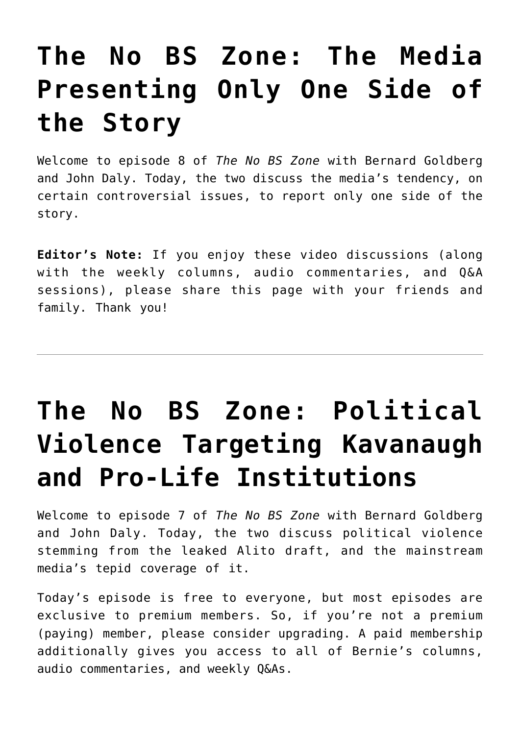# **[The No BS Zone: The Media](https://bernardgoldberg.com/the-no-bs-zone-the-media-presenting-only-one-side-of-the-story/) [Presenting Only One Side of](https://bernardgoldberg.com/the-no-bs-zone-the-media-presenting-only-one-side-of-the-story/) [the Story](https://bernardgoldberg.com/the-no-bs-zone-the-media-presenting-only-one-side-of-the-story/)**

Welcome to episode 8 of *The No BS Zone* with Bernard Goldberg and John Daly. Today, the two discuss the media's tendency, on certain controversial issues, to report only one side of the story.

**Editor's Note:** If you enjoy these video discussions (along with the weekly columns, audio commentaries, and Q&A sessions), please share this page with your friends and family. Thank you!

# **[The No BS Zone: Political](https://bernardgoldberg.com/the-no-bs-zone-political-violence-targeting-kavanaugh-and-pro-life-institutions/) [Violence Targeting Kavanaugh](https://bernardgoldberg.com/the-no-bs-zone-political-violence-targeting-kavanaugh-and-pro-life-institutions/) [and Pro-Life Institutions](https://bernardgoldberg.com/the-no-bs-zone-political-violence-targeting-kavanaugh-and-pro-life-institutions/)**

Welcome to episode 7 of *The No BS Zone* with Bernard Goldberg and John Daly. Today, the two discuss political violence stemming from the leaked Alito draft, and the mainstream media's tepid coverage of it.

Today's episode is free to everyone, but most episodes are exclusive to premium members. So, if you're not a premium (paying) member, [please consider upgrading](https://bernardgoldberg.substack.com/subscribe). A paid membership additionally gives you access to all of Bernie's columns, audio commentaries, and weekly Q&As.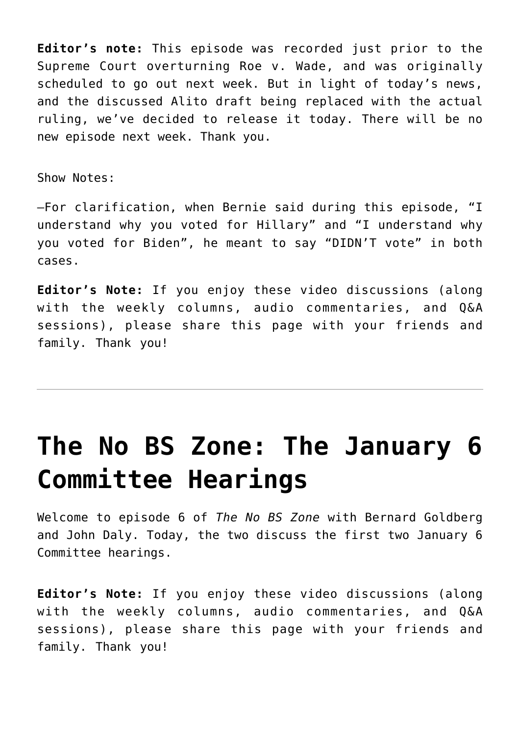**Editor's note:** This episode was recorded just prior to the Supreme Court overturning Roe v. Wade, and was originally scheduled to go out next week. But in light of today's news, and the discussed Alito draft being replaced with the actual ruling, we've decided to release it today. There will be no new episode next week. Thank you.

Show Notes:

–For clarification, when Bernie said during this episode, "I understand why you voted for Hillary" and "I understand why you voted for Biden", he meant to say "DIDN'T vote" in both cases.

**Editor's Note:** If you enjoy these video discussions (along with the weekly columns, audio commentaries, and Q&A sessions), please share this page with your friends and family. Thank you!

## **[The No BS Zone: The January 6](https://bernardgoldberg.com/the-no-bs-zone-the-january-6-committee-hearings/) [Committee Hearings](https://bernardgoldberg.com/the-no-bs-zone-the-january-6-committee-hearings/)**

Welcome to episode 6 of *The No BS Zone* with Bernard Goldberg and John Daly. Today, the two discuss the first two January 6 Committee hearings.

**Editor's Note:** If you enjoy these video discussions (along with the weekly columns, audio commentaries, and Q&A sessions), please share this page with your friends and family. Thank you!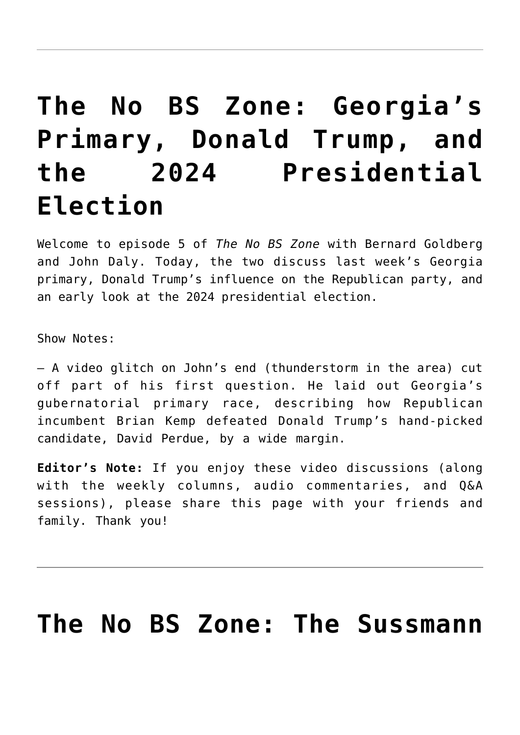### **[The No BS Zone: Georgia's](https://bernardgoldberg.com/the-no-bs-zone-georgias-primary-donald-trump-and-the-2024-presidential-election/) [Primary, Donald Trump, and](https://bernardgoldberg.com/the-no-bs-zone-georgias-primary-donald-trump-and-the-2024-presidential-election/) [the 2024 Presidential](https://bernardgoldberg.com/the-no-bs-zone-georgias-primary-donald-trump-and-the-2024-presidential-election/) [Election](https://bernardgoldberg.com/the-no-bs-zone-georgias-primary-donald-trump-and-the-2024-presidential-election/)**

Welcome to episode 5 of *The No BS Zone* with Bernard Goldberg and John Daly. Today, the two discuss last week's Georgia primary, Donald Trump's influence on the Republican party, and an early look at the 2024 presidential election.

Show Notes:

– A video glitch on John's end (thunderstorm in the area) cut off part of his first question. He laid out Georgia's gubernatorial primary race, describing how Republican incumbent Brian Kemp defeated Donald Trump's hand-picked candidate, David Perdue, by a wide margin.

**Editor's Note:** If you enjoy these video discussions (along with the weekly columns, audio commentaries, and Q&A sessions), please share this page with your friends and family. Thank you!

#### **[The No BS Zone: The Sussmann](https://bernardgoldberg.com/the-no-bs-zone-the-sussmann-trial-buffalo-shooting-blame-game-supreme-court-and-more/)**